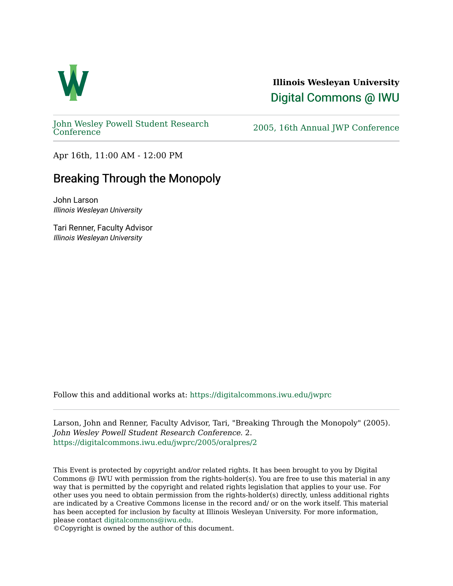

# **Illinois Wesleyan University**  [Digital Commons @ IWU](https://digitalcommons.iwu.edu/)

[John Wesley Powell Student Research](https://digitalcommons.iwu.edu/jwprc) 

2005, 16th Annual JWP [Conference](https://digitalcommons.iwu.edu/jwprc)

Apr 16th, 11:00 AM - 12:00 PM

# Breaking Through the Monopoly

John Larson Illinois Wesleyan University

Tari Renner, Faculty Advisor Illinois Wesleyan University

Follow this and additional works at: [https://digitalcommons.iwu.edu/jwprc](https://digitalcommons.iwu.edu/jwprc?utm_source=digitalcommons.iwu.edu%2Fjwprc%2F2005%2Foralpres%2F2&utm_medium=PDF&utm_campaign=PDFCoverPages) 

Larson, John and Renner, Faculty Advisor, Tari, "Breaking Through the Monopoly" (2005). John Wesley Powell Student Research Conference. 2. [https://digitalcommons.iwu.edu/jwprc/2005/oralpres/2](https://digitalcommons.iwu.edu/jwprc/2005/oralpres/2?utm_source=digitalcommons.iwu.edu%2Fjwprc%2F2005%2Foralpres%2F2&utm_medium=PDF&utm_campaign=PDFCoverPages) 

This Event is protected by copyright and/or related rights. It has been brought to you by Digital Commons @ IWU with permission from the rights-holder(s). You are free to use this material in any way that is permitted by the copyright and related rights legislation that applies to your use. For other uses you need to obtain permission from the rights-holder(s) directly, unless additional rights are indicated by a Creative Commons license in the record and/ or on the work itself. This material has been accepted for inclusion by faculty at Illinois Wesleyan University. For more information, please contact [digitalcommons@iwu.edu.](mailto:digitalcommons@iwu.edu)

©Copyright is owned by the author of this document.